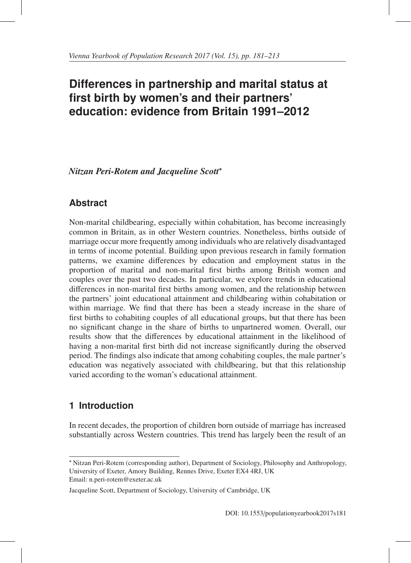# **Differences in partnership and marital status at first birth by women's and their partners' education: evidence from Britain 1991–2012**

*Nitzan Peri-Rotem and Jacqueline Scott*<sup>∗</sup>

# **Abstract**

Non-marital childbearing, especially within cohabitation, has become increasingly common in Britain, as in other Western countries. Nonetheless, births outside of marriage occur more frequently among individuals who are relatively disadvantaged in terms of income potential. Building upon previous research in family formation patterns, we examine differences by education and employment status in the proportion of marital and non-marital first births among British women and couples over the past two decades. In particular, we explore trends in educational differences in non-marital first births among women, and the relationship between the partners' joint educational attainment and childbearing within cohabitation or within marriage. We find that there has been a steady increase in the share of first births to cohabiting couples of all educational groups, but that there has been no significant change in the share of births to unpartnered women. Overall, our results show that the differences by educational attainment in the likelihood of having a non-marital first birth did not increase significantly during the observed period. The findings also indicate that among cohabiting couples, the male partner's education was negatively associated with childbearing, but that this relationship varied according to the woman's educational attainment.

# **1 Introduction**

In recent decades, the proportion of children born outside of marriage has increased substantially across Western countries. This trend has largely been the result of an

Email: n.peri-rotem@exeter.ac.uk

<sup>∗</sup> Nitzan Peri-Rotem (corresponding author), Department of Sociology, Philosophy and Anthropology, University of Exeter, Amory Building, Rennes Drive, Exeter EX4 4RJ, UK

Jacqueline Scott, Department of Sociology, University of Cambridge, UK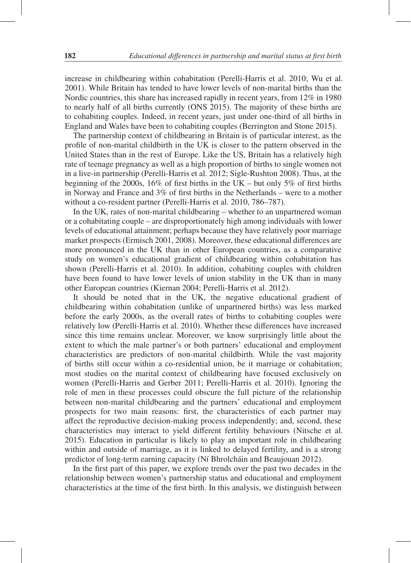increase in childbearing within cohabitation (Perelli-Harris et al. 2010; Wu et al. 2001). While Britain has tended to have lower levels of non-marital births than the Nordic countries, this share has increased rapidly in recent years, from 12% in 1980 to nearly half of all births currently (ONS 2015). The majority of these births are to cohabiting couples. Indeed, in recent years, just under one-third of all births in England and Wales have been to cohabiting couples (Berrington and Stone 2015).

The partnership context of childbearing in Britain is of particular interest, as the profile of non-marital childbirth in the UK is closer to the pattern observed in the United States than in the rest of Europe. Like the US, Britain has a relatively high rate of teenage pregnancy as well as a high proportion of births to single women not in a live-in partnership (Perelli-Harris et al. 2012; Sigle-Rushton 2008). Thus, at the beginning of the 2000s, 16% of first births in the UK – but only 5% of first births in Norway and France and 3% of first births in the Netherlands – were to a mother without a co-resident partner (Perelli-Harris et al. 2010, 786–787).

In the UK, rates of non-marital childbearing – whether to an unpartnered woman or a cohabitating couple – are disproportionately high among individuals with lower levels of educational attainment; perhaps because they have relatively poor marriage market prospects (Ermisch 2001, 2008). Moreover, these educational differences are more pronounced in the UK than in other European countries, as a comparative study on women's educational gradient of childbearing within cohabitation has shown (Perelli-Harris et al. 2010). In addition, cohabiting couples with children have been found to have lower levels of union stability in the UK than in many other European countries (Kiernan 2004; Perelli-Harris et al. 2012).

It should be noted that in the UK, the negative educational gradient of childbearing within cohabitation (unlike of unpartnered births) was less marked before the early 2000s, as the overall rates of births to cohabiting couples were relatively low (Perelli-Harris et al. 2010). Whether these differences have increased since this time remains unclear. Moreover, we know surprisingly little about the extent to which the male partner's or both partners' educational and employment characteristics are predictors of non-marital childbirth. While the vast majority of births still occur within a co-residential union, be it marriage or cohabitation; most studies on the marital context of childbearing have focused exclusively on women (Perelli-Harris and Gerber 2011; Perelli-Harris et al. 2010). Ignoring the role of men in these processes could obscure the full picture of the relationship between non-marital childbearing and the partners' educational and employment prospects for two main reasons: first, the characteristics of each partner may affect the reproductive decision-making process independently; and, second, these characteristics may interact to yield different fertility behaviours (Nitsche et al. 2015). Education in particular is likely to play an important role in childbearing within and outside of marriage, as it is linked to delayed fertility, and is a strong predictor of long-term earning capacity (Ní Bhrolcháin and Beaujouan 2012).

In the first part of this paper, we explore trends over the past two decades in the relationship between women's partnership status and educational and employment characteristics at the time of the first birth. In this analysis, we distinguish between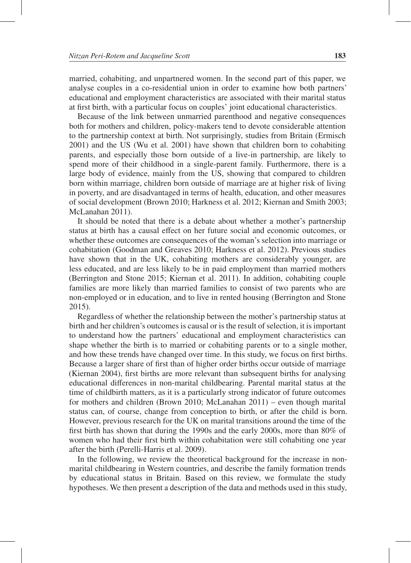married, cohabiting, and unpartnered women. In the second part of this paper, we analyse couples in a co-residential union in order to examine how both partners' educational and employment characteristics are associated with their marital status at first birth, with a particular focus on couples' joint educational characteristics.

Because of the link between unmarried parenthood and negative consequences both for mothers and children, policy-makers tend to devote considerable attention to the partnership context at birth. Not surprisingly, studies from Britain (Ermisch 2001) and the US (Wu et al. 2001) have shown that children born to cohabiting parents, and especially those born outside of a live-in partnership, are likely to spend more of their childhood in a single-parent family. Furthermore, there is a large body of evidence, mainly from the US, showing that compared to children born within marriage, children born outside of marriage are at higher risk of living in poverty, and are disadvantaged in terms of health, education, and other measures of social development (Brown 2010; Harkness et al. 2012; Kiernan and Smith 2003; McLanahan 2011).

It should be noted that there is a debate about whether a mother's partnership status at birth has a causal effect on her future social and economic outcomes, or whether these outcomes are consequences of the woman's selection into marriage or cohabitation (Goodman and Greaves 2010; Harkness et al. 2012). Previous studies have shown that in the UK, cohabiting mothers are considerably younger, are less educated, and are less likely to be in paid employment than married mothers (Berrington and Stone 2015; Kiernan et al. 2011). In addition, cohabiting couple families are more likely than married families to consist of two parents who are non-employed or in education, and to live in rented housing (Berrington and Stone 2015).

Regardless of whether the relationship between the mother's partnership status at birth and her children's outcomes is causal or is the result of selection, it is important to understand how the partners' educational and employment characteristics can shape whether the birth is to married or cohabiting parents or to a single mother, and how these trends have changed over time. In this study, we focus on first births. Because a larger share of first than of higher order births occur outside of marriage (Kiernan 2004), first births are more relevant than subsequent births for analysing educational differences in non-marital childbearing. Parental marital status at the time of childbirth matters, as it is a particularly strong indicator of future outcomes for mothers and children (Brown 2010; McLanahan 2011) – even though marital status can, of course, change from conception to birth, or after the child is born. However, previous research for the UK on marital transitions around the time of the first birth has shown that during the 1990s and the early 2000s, more than 80% of women who had their first birth within cohabitation were still cohabiting one year after the birth (Perelli-Harris et al. 2009).

In the following, we review the theoretical background for the increase in nonmarital childbearing in Western countries, and describe the family formation trends by educational status in Britain. Based on this review, we formulate the study hypotheses. We then present a description of the data and methods used in this study,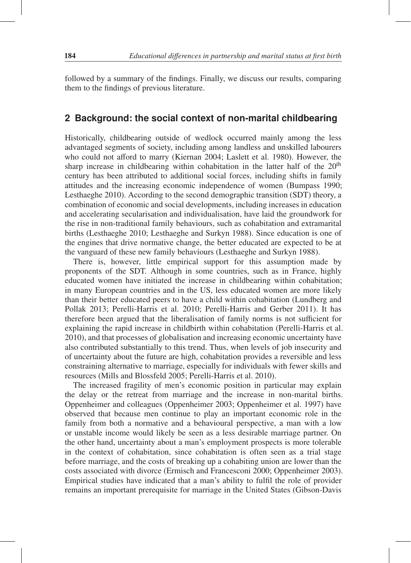followed by a summary of the findings. Finally, we discuss our results, comparing them to the findings of previous literature.

## **2 Background: the social context of non-marital childbearing**

Historically, childbearing outside of wedlock occurred mainly among the less advantaged segments of society, including among landless and unskilled labourers who could not afford to marry (Kiernan 2004; Laslett et al. 1980). However, the sharp increase in childbearing within cohabitation in the latter half of the  $20<sup>th</sup>$ century has been attributed to additional social forces, including shifts in family attitudes and the increasing economic independence of women (Bumpass 1990; Lesthaeghe 2010). According to the second demographic transition (SDT) theory, a combination of economic and social developments, including increases in education and accelerating secularisation and individualisation, have laid the groundwork for the rise in non-traditional family behaviours, such as cohabitation and extramarital births (Lesthaeghe 2010; Lesthaeghe and Surkyn 1988). Since education is one of the engines that drive normative change, the better educated are expected to be at the vanguard of these new family behaviours (Lesthaeghe and Surkyn 1988).

There is, however, little empirical support for this assumption made by proponents of the SDT. Although in some countries, such as in France, highly educated women have initiated the increase in childbearing within cohabitation; in many European countries and in the US, less educated women are more likely than their better educated peers to have a child within cohabitation (Lundberg and Pollak 2013; Perelli-Harris et al. 2010; Perelli-Harris and Gerber 2011). It has therefore been argued that the liberalisation of family norms is not sufficient for explaining the rapid increase in childbirth within cohabitation (Perelli-Harris et al. 2010), and that processes of globalisation and increasing economic uncertainty have also contributed substantially to this trend. Thus, when levels of job insecurity and of uncertainty about the future are high, cohabitation provides a reversible and less constraining alternative to marriage, especially for individuals with fewer skills and resources (Mills and Blossfeld 2005; Perelli-Harris et al. 2010).

The increased fragility of men's economic position in particular may explain the delay or the retreat from marriage and the increase in non-marital births. Oppenheimer and colleagues (Oppenheimer 2003; Oppenheimer et al. 1997) have observed that because men continue to play an important economic role in the family from both a normative and a behavioural perspective, a man with a low or unstable income would likely be seen as a less desirable marriage partner. On the other hand, uncertainty about a man's employment prospects is more tolerable in the context of cohabitation, since cohabitation is often seen as a trial stage before marriage, and the costs of breaking up a cohabiting union are lower than the costs associated with divorce (Ermisch and Francesconi 2000; Oppenheimer 2003). Empirical studies have indicated that a man's ability to fulfil the role of provider remains an important prerequisite for marriage in the United States (Gibson-Davis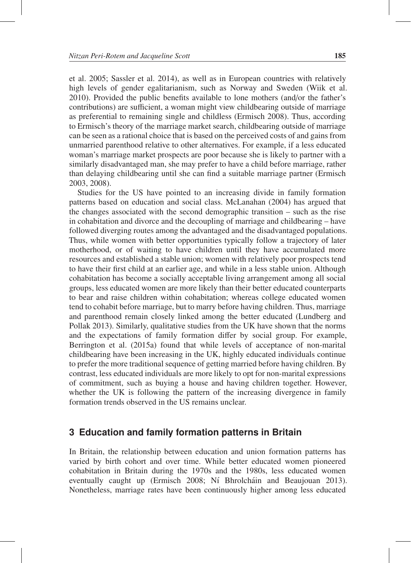et al. 2005; Sassler et al. 2014), as well as in European countries with relatively high levels of gender egalitarianism, such as Norway and Sweden (Wiik et al. 2010). Provided the public benefits available to lone mothers (and/or the father's contributions) are sufficient, a woman might view childbearing outside of marriage as preferential to remaining single and childless (Ermisch 2008). Thus, according to Ermisch's theory of the marriage market search, childbearing outside of marriage can be seen as a rational choice that is based on the perceived costs of and gains from unmarried parenthood relative to other alternatives. For example, if a less educated woman's marriage market prospects are poor because she is likely to partner with a similarly disadvantaged man, she may prefer to have a child before marriage, rather than delaying childbearing until she can find a suitable marriage partner (Ermisch 2003, 2008).

Studies for the US have pointed to an increasing divide in family formation patterns based on education and social class. McLanahan (2004) has argued that the changes associated with the second demographic transition – such as the rise in cohabitation and divorce and the decoupling of marriage and childbearing – have followed diverging routes among the advantaged and the disadvantaged populations. Thus, while women with better opportunities typically follow a trajectory of later motherhood, or of waiting to have children until they have accumulated more resources and established a stable union; women with relatively poor prospects tend to have their first child at an earlier age, and while in a less stable union. Although cohabitation has become a socially acceptable living arrangement among all social groups, less educated women are more likely than their better educated counterparts to bear and raise children within cohabitation; whereas college educated women tend to cohabit before marriage, but to marry before having children. Thus, marriage and parenthood remain closely linked among the better educated (Lundberg and Pollak 2013). Similarly, qualitative studies from the UK have shown that the norms and the expectations of family formation differ by social group. For example, Berrington et al. (2015a) found that while levels of acceptance of non-marital childbearing have been increasing in the UK, highly educated individuals continue to prefer the more traditional sequence of getting married before having children. By contrast, less educated individuals are more likely to opt for non-marital expressions of commitment, such as buying a house and having children together. However, whether the UK is following the pattern of the increasing divergence in family formation trends observed in the US remains unclear.

## **3 Education and family formation patterns in Britain**

In Britain, the relationship between education and union formation patterns has varied by birth cohort and over time. While better educated women pioneered cohabitation in Britain during the 1970s and the 1980s, less educated women eventually caught up (Ermisch 2008; Ní Bhrolcháin and Beaujouan 2013). Nonetheless, marriage rates have been continuously higher among less educated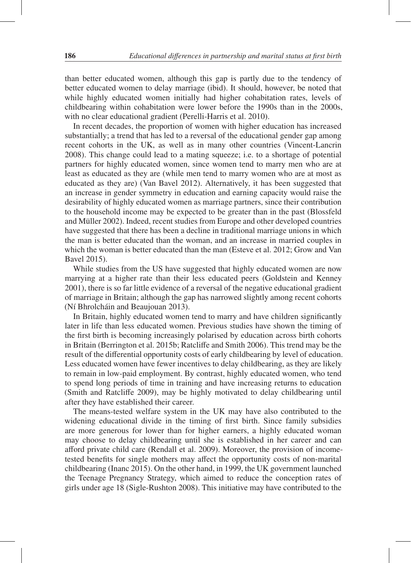than better educated women, although this gap is partly due to the tendency of better educated women to delay marriage (ibid). It should, however, be noted that while highly educated women initially had higher cohabitation rates, levels of childbearing within cohabitation were lower before the 1990s than in the 2000s, with no clear educational gradient (Perelli-Harris et al. 2010).

In recent decades, the proportion of women with higher education has increased substantially; a trend that has led to a reversal of the educational gender gap among recent cohorts in the UK, as well as in many other countries (Vincent-Lancrin 2008). This change could lead to a mating squeeze; i.e. to a shortage of potential partners for highly educated women, since women tend to marry men who are at least as educated as they are (while men tend to marry women who are at most as educated as they are) (Van Bavel 2012). Alternatively, it has been suggested that an increase in gender symmetry in education and earning capacity would raise the desirability of highly educated women as marriage partners, since their contribution to the household income may be expected to be greater than in the past (Blossfeld and Müller 2002). Indeed, recent studies from Europe and other developed countries have suggested that there has been a decline in traditional marriage unions in which the man is better educated than the woman, and an increase in married couples in which the woman is better educated than the man (Esteve et al. 2012; Grow and Van Bavel 2015).

While studies from the US have suggested that highly educated women are now marrying at a higher rate than their less educated peers (Goldstein and Kenney 2001), there is so far little evidence of a reversal of the negative educational gradient of marriage in Britain; although the gap has narrowed slightly among recent cohorts (Ní Bhrolcháin and Beaujouan 2013).

In Britain, highly educated women tend to marry and have children significantly later in life than less educated women. Previous studies have shown the timing of the first birth is becoming increasingly polarised by education across birth cohorts in Britain (Berrington et al. 2015b; Ratcliffe and Smith 2006). This trend may be the result of the differential opportunity costs of early childbearing by level of education. Less educated women have fewer incentives to delay childbearing, as they are likely to remain in low-paid employment. By contrast, highly educated women, who tend to spend long periods of time in training and have increasing returns to education (Smith and Ratcliffe 2009), may be highly motivated to delay childbearing until after they have established their career.

The means-tested welfare system in the UK may have also contributed to the widening educational divide in the timing of first birth. Since family subsidies are more generous for lower than for higher earners, a highly educated woman may choose to delay childbearing until she is established in her career and can afford private child care (Rendall et al. 2009). Moreover, the provision of incometested benefits for single mothers may affect the opportunity costs of non-marital childbearing (Inanc 2015). On the other hand, in 1999, the UK government launched the Teenage Pregnancy Strategy, which aimed to reduce the conception rates of girls under age 18 (Sigle-Rushton 2008). This initiative may have contributed to the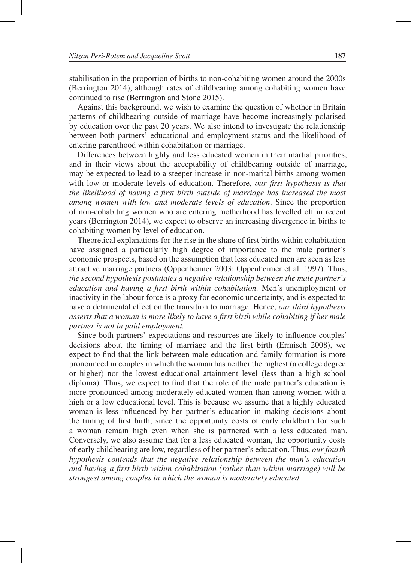stabilisation in the proportion of births to non-cohabiting women around the 2000s (Berrington 2014), although rates of childbearing among cohabiting women have continued to rise (Berrington and Stone 2015).

Against this background, we wish to examine the question of whether in Britain patterns of childbearing outside of marriage have become increasingly polarised by education over the past 20 years. We also intend to investigate the relationship between both partners' educational and employment status and the likelihood of entering parenthood within cohabitation or marriage.

Differences between highly and less educated women in their martial priorities, and in their views about the acceptability of childbearing outside of marriage, may be expected to lead to a steeper increase in non-marital births among women with low or moderate levels of education. Therefore, *our first hypothesis is that the likelihood of having a first birth outside of marriage has increased the most among women with low and moderate levels of education*. Since the proportion of non-cohabiting women who are entering motherhood has levelled off in recent years (Berrington 2014), we expect to observe an increasing divergence in births to cohabiting women by level of education.

Theoretical explanations for the rise in the share of first births within cohabitation have assigned a particularly high degree of importance to the male partner's economic prospects, based on the assumption that less educated men are seen as less attractive marriage partners (Oppenheimer 2003; Oppenheimer et al. 1997). Thus, *the second hypothesis postulates a negative relationship between the male partner's education and having a first birth within cohabitation.* Men's unemployment or inactivity in the labour force is a proxy for economic uncertainty, and is expected to have a detrimental effect on the transition to marriage. Hence, *our third hypothesis asserts that a woman is more likely to have a first birth while cohabiting if her male partner is not in paid employment.*

Since both partners' expectations and resources are likely to influence couples' decisions about the timing of marriage and the first birth (Ermisch 2008), we expect to find that the link between male education and family formation is more pronounced in couples in which the woman has neither the highest (a college degree or higher) nor the lowest educational attainment level (less than a high school diploma). Thus, we expect to find that the role of the male partner's education is more pronounced among moderately educated women than among women with a high or a low educational level. This is because we assume that a highly educated woman is less influenced by her partner's education in making decisions about the timing of first birth, since the opportunity costs of early childbirth for such a woman remain high even when she is partnered with a less educated man. Conversely, we also assume that for a less educated woman, the opportunity costs of early childbearing are low, regardless of her partner's education. Thus, *our fourth hypothesis contends that the negative relationship between the man's education and having a first birth within cohabitation (rather than within marriage) will be strongest among couples in which the woman is moderately educated.*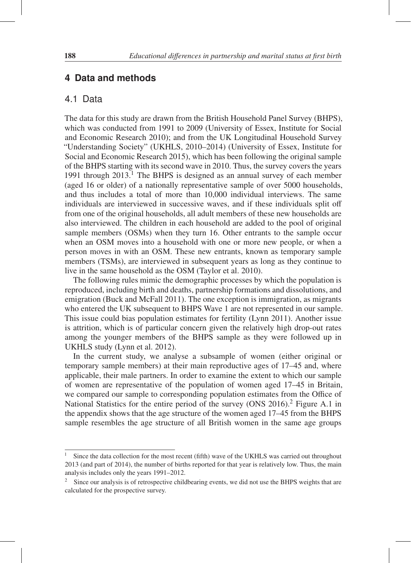## **4 Data and methods**

## 4.1 Data

The data for this study are drawn from the British Household Panel Survey (BHPS), which was conducted from 1991 to 2009 (University of Essex, Institute for Social and Economic Research 2010); and from the UK Longitudinal Household Survey "Understanding Society" (UKHLS, 2010–2014) (University of Essex, Institute for Social and Economic Research 2015), which has been following the original sample of the BHPS starting with its second wave in 2010. Thus, the survey covers the years 1991 through  $2013$ <sup>1</sup>. The BHPS is designed as an annual survey of each member (aged 16 or older) of a nationally representative sample of over 5000 households, and thus includes a total of more than 10,000 individual interviews. The same individuals are interviewed in successive waves, and if these individuals split off from one of the original households, all adult members of these new households are also interviewed. The children in each household are added to the pool of original sample members (OSMs) when they turn 16. Other entrants to the sample occur when an OSM moves into a household with one or more new people, or when a person moves in with an OSM. These new entrants, known as temporary sample members (TSMs), are interviewed in subsequent years as long as they continue to live in the same household as the OSM (Taylor et al. 2010).

The following rules mimic the demographic processes by which the population is reproduced, including birth and deaths, partnership formations and dissolutions, and emigration (Buck and McFall 2011). The one exception is immigration, as migrants who entered the UK subsequent to BHPS Wave 1 are not represented in our sample. This issue could bias population estimates for fertility (Lynn 2011). Another issue is attrition, which is of particular concern given the relatively high drop-out rates among the younger members of the BHPS sample as they were followed up in UKHLS study (Lynn et al. 2012).

In the current study, we analyse a subsample of women (either original or temporary sample members) at their main reproductive ages of 17–45 and, where applicable, their male partners. In order to examine the extent to which our sample of women are representative of the population of women aged 17–45 in Britain, we compared our sample to corresponding population estimates from the Office of National Statistics for the entire period of the survey (ONS 2016).<sup>2</sup> Figure A.1 in the appendix shows that the age structure of the women aged 17–45 from the BHPS sample resembles the age structure of all British women in the same age groups

 $1$  Since the data collection for the most recent (fifth) wave of the UKHLS was carried out throughout 2013 (and part of 2014), the number of births reported for that year is relatively low. Thus, the main analysis includes only the years 1991–2012.

<sup>&</sup>lt;sup>2</sup> Since our analysis is of retrospective childbearing events, we did not use the BHPS weights that are calculated for the prospective survey.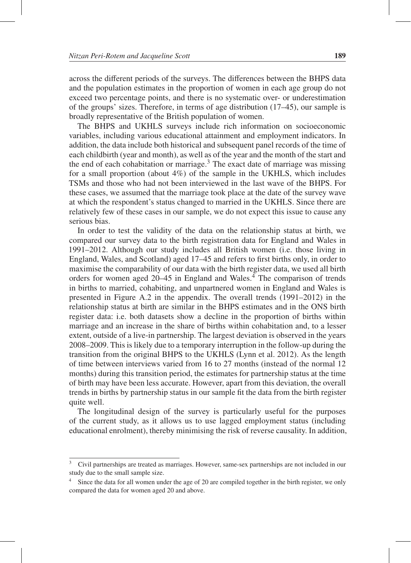across the different periods of the surveys. The differences between the BHPS data and the population estimates in the proportion of women in each age group do not exceed two percentage points, and there is no systematic over- or underestimation of the groups' sizes. Therefore, in terms of age distribution (17–45), our sample is broadly representative of the British population of women.

The BHPS and UKHLS surveys include rich information on socioeconomic variables, including various educational attainment and employment indicators. In addition, the data include both historical and subsequent panel records of the time of each childbirth (year and month), as well as of the year and the month of the start and the end of each cohabitation or marriage.<sup>3</sup> The exact date of marriage was missing for a small proportion (about 4%) of the sample in the UKHLS, which includes TSMs and those who had not been interviewed in the last wave of the BHPS. For these cases, we assumed that the marriage took place at the date of the survey wave at which the respondent's status changed to married in the UKHLS. Since there are relatively few of these cases in our sample, we do not expect this issue to cause any serious bias.

In order to test the validity of the data on the relationship status at birth, we compared our survey data to the birth registration data for England and Wales in 1991–2012. Although our study includes all British women (i.e. those living in England, Wales, and Scotland) aged 17–45 and refers to first births only, in order to maximise the comparability of our data with the birth register data, we used all birth orders for women aged  $20-45$  in England and Wales.<sup>4</sup> The comparison of trends in births to married, cohabiting, and unpartnered women in England and Wales is presented in Figure A.2 in the appendix. The overall trends (1991–2012) in the relationship status at birth are similar in the BHPS estimates and in the ONS birth register data: i.e. both datasets show a decline in the proportion of births within marriage and an increase in the share of births within cohabitation and, to a lesser extent, outside of a live-in partnership. The largest deviation is observed in the years 2008–2009. This is likely due to a temporary interruption in the follow-up during the transition from the original BHPS to the UKHLS (Lynn et al. 2012). As the length of time between interviews varied from 16 to 27 months (instead of the normal 12 months) during this transition period, the estimates for partnership status at the time of birth may have been less accurate. However, apart from this deviation, the overall trends in births by partnership status in our sample fit the data from the birth register quite well.

The longitudinal design of the survey is particularly useful for the purposes of the current study, as it allows us to use lagged employment status (including educational enrolment), thereby minimising the risk of reverse causality. In addition,

<sup>3</sup> Civil partnerships are treated as marriages. However, same-sex partnerships are not included in our study due to the small sample size.

Since the data for all women under the age of 20 are compiled together in the birth register, we only compared the data for women aged 20 and above.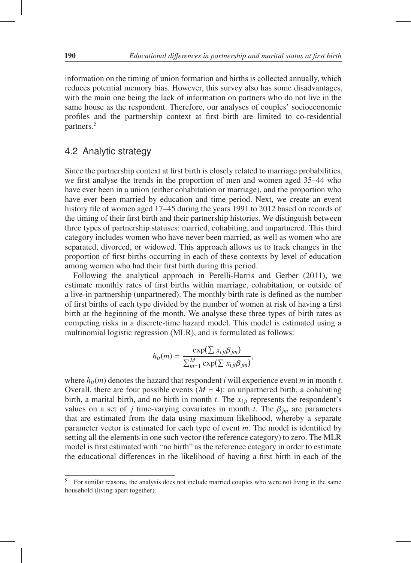information on the timing of union formation and births is collected annually, which reduces potential memory bias. However, this survey also has some disadvantages, with the main one being the lack of information on partners who do not live in the same house as the respondent. Therefore, our analyses of couples' socioeconomic profiles and the partnership context at first birth are limited to co-residential partners.5

# 4.2 Analytic strategy

Since the partnership context at first birth is closely related to marriage probabilities, we first analyse the trends in the proportion of men and women aged 35–44 who have ever been in a union (either cohabitation or marriage), and the proportion who have ever been married by education and time period. Next, we create an event history file of women aged 17–45 during the years 1991 to 2012 based on records of the timing of their first birth and their partnership histories. We distinguish between three types of partnership statuses: married, cohabiting, and unpartnered. This third category includes women who have never been married, as well as women who are separated, divorced, or widowed. This approach allows us to track changes in the proportion of first births occurring in each of these contexts by level of education among women who had their first birth during this period.

Following the analytical approach in Perelli-Harris and Gerber (2011), we estimate monthly rates of first births within marriage, cohabitation, or outside of a live-in partnership (unpartnered). The monthly birth rate is defined as the number of first births of each type divided by the number of women at risk of having a first birth at the beginning of the month. We analyse these three types of birth rates as competing risks in a discrete-time hazard model. This model is estimated using a multinomial logistic regression (MLR), and is formulated as follows:

$$
h_{ii}(m) = \frac{\exp(\sum x_{ij} \beta_{jm})}{\sum_{m=1}^{M} \exp(\sum x_{ij} \beta_{jm})},
$$

where  $h_{it}(m)$  denotes the hazard that respondent *i* will experience event *m* in month *t*. Overall, there are four possible events  $(M = 4)$ : an unpartnered birth, a cohabiting birth, a marital birth, and no birth in month  $t$ . The  $x_{ij}$  represents the respondent's values on a set of *j* time-varying covariates in month *t*. The  $\beta_{jm}$  are parameters that are estimated from the data using maximum likelihood, whereby a separate parameter vector is estimated for each type of event *m*. The model is identified by setting all the elements in one such vector (the reference category) to zero. The MLR model is first estimated with "no birth" as the reference category in order to estimate the educational differences in the likelihood of having a first birth in each of the

<sup>5</sup> For similar reasons, the analysis does not include married couples who were not living in the same household (living apart together).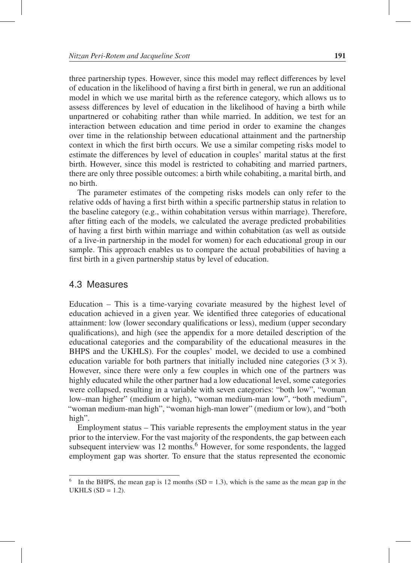three partnership types. However, since this model may reflect differences by level of education in the likelihood of having a first birth in general, we run an additional model in which we use marital birth as the reference category, which allows us to assess differences by level of education in the likelihood of having a birth while unpartnered or cohabiting rather than while married. In addition, we test for an interaction between education and time period in order to examine the changes over time in the relationship between educational attainment and the partnership context in which the first birth occurs. We use a similar competing risks model to estimate the differences by level of education in couples' marital status at the first birth. However, since this model is restricted to cohabiting and married partners, there are only three possible outcomes: a birth while cohabiting, a marital birth, and no birth.

The parameter estimates of the competing risks models can only refer to the relative odds of having a first birth within a specific partnership status in relation to the baseline category (e.g., within cohabitation versus within marriage). Therefore, after fitting each of the models, we calculated the average predicted probabilities of having a first birth within marriage and within cohabitation (as well as outside of a live-in partnership in the model for women) for each educational group in our sample. This approach enables us to compare the actual probabilities of having a first birth in a given partnership status by level of education.

### 4.3 Measures

Education – This is a time-varying covariate measured by the highest level of education achieved in a given year. We identified three categories of educational attainment: low (lower secondary qualifications or less), medium (upper secondary qualifications), and high (see the appendix for a more detailed description of the educational categories and the comparability of the educational measures in the BHPS and the UKHLS). For the couples' model, we decided to use a combined education variable for both partners that initially included nine categories  $(3 \times 3)$ . However, since there were only a few couples in which one of the partners was highly educated while the other partner had a low educational level, some categories were collapsed, resulting in a variable with seven categories: "both low", "woman low–man higher" (medium or high), "woman medium-man low", "both medium", "woman medium-man high", "woman high-man lower" (medium or low), and "both high".

Employment status – This variable represents the employment status in the year prior to the interview. For the vast majority of the respondents, the gap between each subsequent interview was 12 months.<sup>6</sup> However, for some respondents, the lagged employment gap was shorter. To ensure that the status represented the economic

<sup>&</sup>lt;sup>6</sup> In the BHPS, the mean gap is 12 months (SD = 1.3), which is the same as the mean gap in the UKHLS  $(SD = 1.2)$ .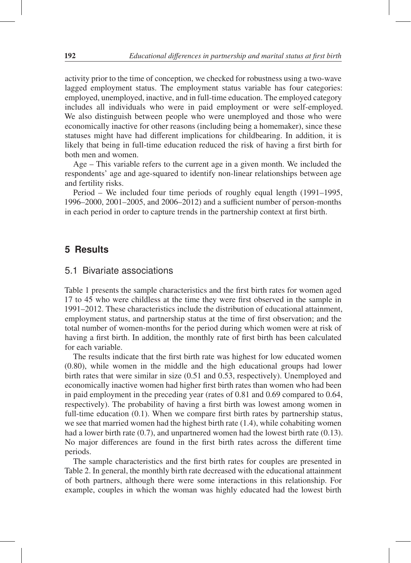activity prior to the time of conception, we checked for robustness using a two-wave lagged employment status. The employment status variable has four categories: employed, unemployed, inactive, and in full-time education. The employed category includes all individuals who were in paid employment or were self-employed. We also distinguish between people who were unemployed and those who were economically inactive for other reasons (including being a homemaker), since these statuses might have had different implications for childbearing. In addition, it is likely that being in full-time education reduced the risk of having a first birth for both men and women.

Age – This variable refers to the current age in a given month. We included the respondents' age and age-squared to identify non-linear relationships between age and fertility risks.

Period – We included four time periods of roughly equal length (1991–1995, 1996–2000, 2001–2005, and 2006–2012) and a sufficient number of person-months in each period in order to capture trends in the partnership context at first birth.

### **5 Results**

### 5.1 Bivariate associations

Table 1 presents the sample characteristics and the first birth rates for women aged 17 to 45 who were childless at the time they were first observed in the sample in 1991–2012. These characteristics include the distribution of educational attainment, employment status, and partnership status at the time of first observation; and the total number of women-months for the period during which women were at risk of having a first birth. In addition, the monthly rate of first birth has been calculated for each variable.

The results indicate that the first birth rate was highest for low educated women (0.80), while women in the middle and the high educational groups had lower birth rates that were similar in size (0.51 and 0.53, respectively). Unemployed and economically inactive women had higher first birth rates than women who had been in paid employment in the preceding year (rates of 0.81 and 0.69 compared to 0.64, respectively). The probability of having a first birth was lowest among women in full-time education (0.1). When we compare first birth rates by partnership status, we see that married women had the highest birth rate (1.4), while cohabiting women had a lower birth rate (0.7), and unpartnered women had the lowest birth rate (0.13). No major differences are found in the first birth rates across the different time periods.

The sample characteristics and the first birth rates for couples are presented in Table 2. In general, the monthly birth rate decreased with the educational attainment of both partners, although there were some interactions in this relationship. For example, couples in which the woman was highly educated had the lowest birth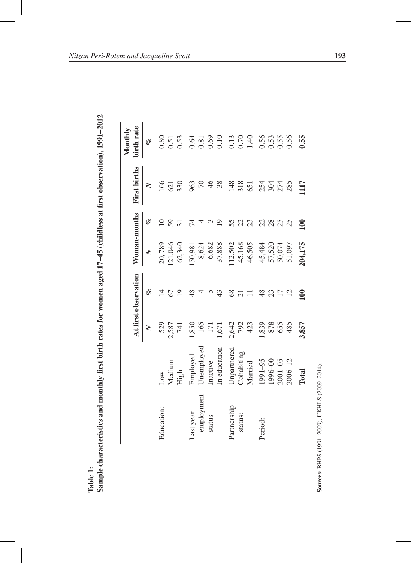|                      | j                        |  |
|----------------------|--------------------------|--|
|                      | $\sim$<br>l              |  |
|                      | $\overline{\phantom{a}}$ |  |
|                      |                          |  |
|                      | I                        |  |
|                      |                          |  |
|                      |                          |  |
|                      |                          |  |
|                      |                          |  |
|                      |                          |  |
|                      |                          |  |
|                      |                          |  |
|                      |                          |  |
|                      |                          |  |
|                      |                          |  |
|                      |                          |  |
|                      |                          |  |
|                      | 医胃炎 医心脏病 化氧化             |  |
|                      |                          |  |
|                      |                          |  |
|                      |                          |  |
|                      | )                        |  |
|                      |                          |  |
|                      |                          |  |
|                      |                          |  |
|                      | .<br>.<br>.<br>.         |  |
|                      |                          |  |
|                      |                          |  |
|                      |                          |  |
|                      |                          |  |
|                      |                          |  |
|                      | ------                   |  |
|                      |                          |  |
|                      |                          |  |
|                      |                          |  |
|                      |                          |  |
|                      |                          |  |
|                      |                          |  |
|                      | read when the mean read  |  |
|                      |                          |  |
|                      |                          |  |
|                      | Ĭ                        |  |
|                      |                          |  |
|                      | i                        |  |
|                      |                          |  |
|                      |                          |  |
|                      |                          |  |
| $\ddot{\phantom{0}}$ | $m$ ple $c$ l<br>4       |  |
|                      |                          |  |

|             |              |                  | At first observation | Woman-months |                 | <b>First births</b> | birth rate<br>Monthly                               |
|-------------|--------------|------------------|----------------------|--------------|-----------------|---------------------|-----------------------------------------------------|
|             |              | $\mathsf{X}$     | olo                  | $\geq$       | olo             | $\geq$              | olo                                                 |
| Education:  | Low          | 529              | $\overline{4}$       | 20,789       | $\subseteq$     | 166                 | 0.80                                                |
|             | Medium       | 2,587            | 67                   | .21,046      | 59              | 621                 | 0.51                                                |
|             | High         | 741              | 19                   | 62,340       | $\overline{31}$ | 330                 | 0.53                                                |
| Last year   | Employed     | ,850             | 48                   | 150,981      | 74              | 963                 | 0.64                                                |
| employment  | Unemployed   | 165              |                      | 8,624        |                 | $\sqrt{2}$          |                                                     |
| status      | Inactive     | $\overline{\Xi}$ |                      | 6,682        | $\mathfrak{c}$  | 46                  | $\begin{array}{c} 0.81 \\ 0.69 \\ 0.10 \end{array}$ |
|             | In education | 1,671            | 43                   | 37,888       | $\overline{19}$ | 38                  |                                                     |
| Partnership | Unpartnered  | 2,642            | 8 <sup>o</sup>       | 12,502       | 55              | 148                 | 0.13                                                |
| status:     | Cohabiting   | 792              | $\overline{21}$      | 45,168       | 22              | 318                 | 0.70                                                |
|             | Married      | 423              |                      | 46,505       | 23              | 651                 | 1.40                                                |
| Period:     | 1991-95      | ,839             | $\frac{8}{3}$        | 45,484       | 22              | 254                 | 0.56                                                |
|             | 996-00       | 878              | 23                   | 57,520       | 28              | 304                 | 0.53                                                |
|             | $2001 - 05$  | 655              | 17                   | 50,074       | 25              | 274                 | 0.55                                                |
|             | $2006 - 12$  | 485              | 12                   | 51,097       | 25              | 285                 | 0.56                                                |
|             | Total        | 3,857            | 100                  | 204,175      | 100             | 1117                | 0.55                                                |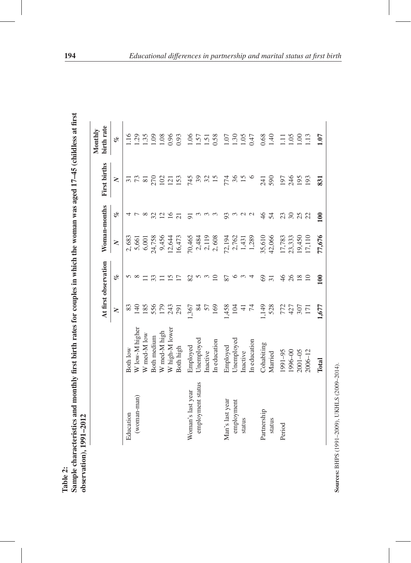|                   |                    |                  | At first observation |                | Woman-months    | <b>First births</b> | birth rate<br>Monthly |
|-------------------|--------------------|------------------|----------------------|----------------|-----------------|---------------------|-----------------------|
|                   |                    | $\geq$           | of                   | $\geq$         | of              | $\geq$              | of                    |
| Education         | Both low           | 83               |                      | 2,683          | 4               | $\sim$              | $\frac{16}{1}$        |
| (woman-man)       | W low-M higher     | $\frac{1}{4}$    | $\infty$             | 5,661          |                 | 73                  | .29                   |
|                   | W med-M low        | $\frac{85}{5}$   |                      | 6,001          | $^{\circ}$      | $\overline{8}$      | 1.35                  |
|                   | <b>Both</b> medium | 556              | 33                   | 24,758         | 32              | 270                 | 09                    |
|                   | W med-M high       | 179              |                      | 9,456          | $\overline{C}$  | 102                 | 1.08                  |
|                   | W high-M lower     | 243              | $\overline{\omega}$  | 12,644         | $\tilde{9}$     | $\overline{21}$     | 0.96                  |
|                   | Both high          | 291              | $\overline{1}$       | 16,473         | $\overline{c}$  | 153                 | 0.93                  |
| Woman's last year | Employed           | 1,367            | 82                   | 70,465         | $\overline{5}$  | 745                 | 06                    |
| employment status | Unemployed         | 84               | 5                    | 2,484          |                 | 39                  | .57                   |
|                   | Inactive           | 57               | $\epsilon$           | 2,119          |                 | 32                  | $\overline{51}$       |
|                   | In education       | 169              | $\supseteq$          | 2,608          |                 |                     | 0.58                  |
| Man's last year   | Employed           | 1,458            | 87                   | 72,194         | 93              | 774                 | 1.07                  |
| employment        | Unemployed         | 104              | ७                    | 2,762          | $\mathfrak{c}$  | 36                  | 1.30                  |
| status            | Inactive           | ╤                |                      |                | $\mathcal{L}$   | 15                  | 1.05                  |
|                   | In education       | 74               | 4                    | 1,431<br>1,289 | $\mathbf{\sim}$ | $\circ$             | 0.47                  |
| Partnership       | Cohabiting         | ,149             | $\Im$                | 35,610         | 46              | 241                 | 0.68                  |
| status            | Married            | 528              | $\overline{31}$      | 42,066         | 54              | 590                 | 940                   |
| Period            | 1991-95            | 772              | 46                   | 17,783         | 23              | 197                 | Ξ                     |
|                   | 00-966             | 427              | 26                   | 23,333         | $30\,$          | 246                 | 1.05                  |
|                   | $2001 - 05$        | 307              | $\frac{8}{18}$       | 19,450         | 25              | 195                 | $\frac{8}{1}$         |
|                   | $2006 - 12$        | $\overline{171}$ | $\Omega$             | 17,110         | 22              | 193                 | 1.13                  |
|                   | Total              | 1,677            | 100                  | 77,676         | 100             | 831                 | 1.07                  |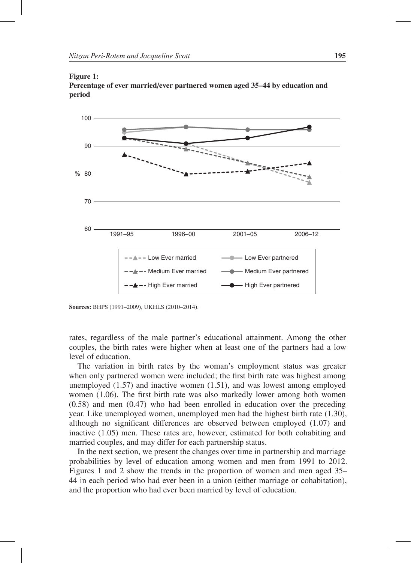#### Figure 1:

Percentage of ever married/ever partnered women aged 35–44 by education and period



Sources: BHPS (1991–2009), UKHLS (2010–2014).

rates, regardless of the male partner's educational attainment. Among the other couples, the birth rates were higher when at least one of the partners had a low level of education.

The variation in birth rates by the woman's employment status was greater when only partnered women were included; the first birth rate was highest among unemployed (1.57) and inactive women (1.51), and was lowest among employed women (1.06). The first birth rate was also markedly lower among both women (0.58) and men (0.47) who had been enrolled in education over the preceding year. Like unemployed women, unemployed men had the highest birth rate (1.30), although no significant differences are observed between employed (1.07) and inactive (1.05) men. These rates are, however, estimated for both cohabiting and married couples, and may differ for each partnership status.

In the next section, we present the changes over time in partnership and marriage probabilities by level of education among women and men from 1991 to 2012. Figures 1 and 2 show the trends in the proportion of women and men aged 35– 44 in each period who had ever been in a union (either marriage or cohabitation), and the proportion who had ever been married by level of education.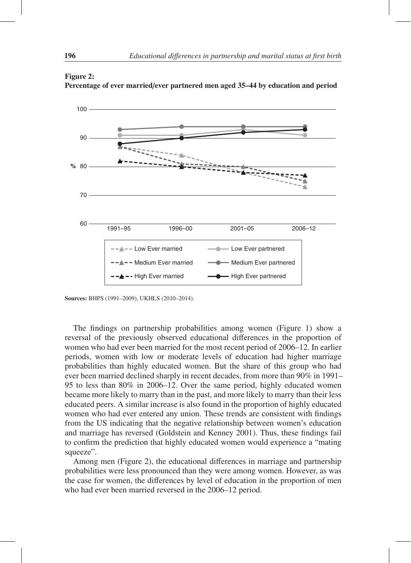

Percentage of ever married/ever partnered men aged 35–44 by education and period

Sources: BHPS (1991–2009), UKHLS (2010–2014).

The findings on partnership probabilities among women (Figure 1) show a reversal of the previously observed educational differences in the proportion of women who had ever been married for the most recent period of 2006–12. In earlier periods, women with low or moderate levels of education had higher marriage probabilities than highly educated women. But the share of this group who had ever been married declined sharply in recent decades, from more than 90% in 1991– 95 to less than 80% in 2006–12. Over the same period, highly educated women became more likely to marry than in the past, and more likely to marry than their less educated peers. A similar increase is also found in the proportion of highly educated women who had ever entered any union. These trends are consistent with findings from the US indicating that the negative relationship between women's education and marriage has reversed (Goldstein and Kenney 2001). Thus, these findings fail to confirm the prediction that highly educated women would experience a "mating squeeze".

Among men (Figure 2), the educational differences in marriage and partnership probabilities were less pronounced than they were among women. However, as was the case for women, the differences by level of education in the proportion of men who had ever been married reversed in the 2006–12 period.

Figure 2: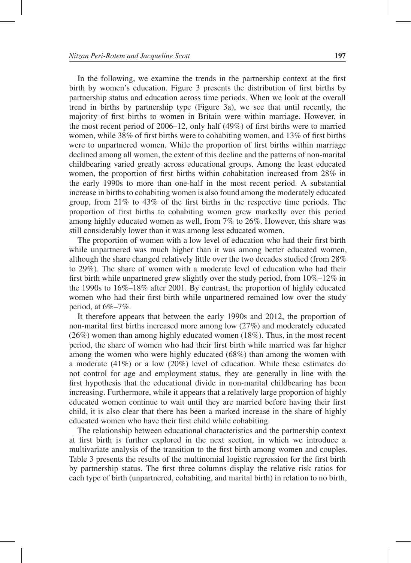In the following, we examine the trends in the partnership context at the first birth by women's education. Figure 3 presents the distribution of first births by partnership status and education across time periods. When we look at the overall trend in births by partnership type (Figure 3a), we see that until recently, the majority of first births to women in Britain were within marriage. However, in the most recent period of 2006–12, only half (49%) of first births were to married women, while 38% of first births were to cohabiting women, and 13% of first births were to unpartnered women. While the proportion of first births within marriage declined among all women, the extent of this decline and the patterns of non-marital childbearing varied greatly across educational groups. Among the least educated women, the proportion of first births within cohabitation increased from 28% in the early 1990s to more than one-half in the most recent period. A substantial increase in births to cohabiting women is also found among the moderately educated group, from 21% to 43% of the first births in the respective time periods. The proportion of first births to cohabiting women grew markedly over this period among highly educated women as well, from 7% to 26%. However, this share was still considerably lower than it was among less educated women.

The proportion of women with a low level of education who had their first birth while unpartnered was much higher than it was among better educated women, although the share changed relatively little over the two decades studied (from 28% to 29%). The share of women with a moderate level of education who had their first birth while unpartnered grew slightly over the study period, from 10%–12% in the 1990s to 16%–18% after 2001. By contrast, the proportion of highly educated women who had their first birth while unpartnered remained low over the study period, at 6%–7%.

It therefore appears that between the early 1990s and 2012, the proportion of non-marital first births increased more among low (27%) and moderately educated (26%) women than among highly educated women (18%). Thus, in the most recent period, the share of women who had their first birth while married was far higher among the women who were highly educated (68%) than among the women with a moderate (41%) or a low (20%) level of education. While these estimates do not control for age and employment status, they are generally in line with the first hypothesis that the educational divide in non-marital childbearing has been increasing. Furthermore, while it appears that a relatively large proportion of highly educated women continue to wait until they are married before having their first child, it is also clear that there has been a marked increase in the share of highly educated women who have their first child while cohabiting.

The relationship between educational characteristics and the partnership context at first birth is further explored in the next section, in which we introduce a multivariate analysis of the transition to the first birth among women and couples. Table 3 presents the results of the multinomial logistic regression for the first birth by partnership status. The first three columns display the relative risk ratios for each type of birth (unpartnered, cohabiting, and marital birth) in relation to no birth,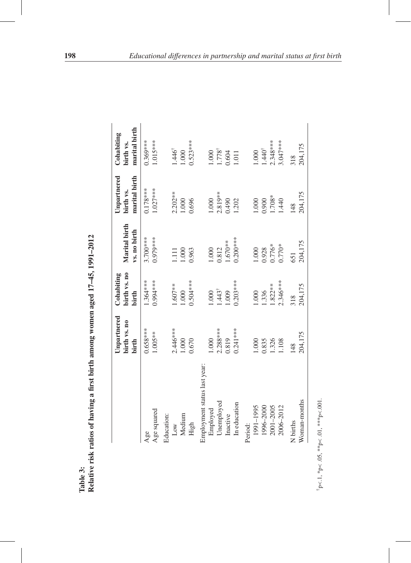|                              | Unpartnered<br>birth vs. no<br>birth | birth vs. no<br>Cohabiting<br>birth | Marital birth<br>vs. no birth | Unpartnered<br>marital birth<br>birth vs. | marital birth<br>Cohabiting<br>birth vs. |
|------------------------------|--------------------------------------|-------------------------------------|-------------------------------|-------------------------------------------|------------------------------------------|
| Age squared<br>Age           | $0.658***$<br>1.005**                | 0.994 ***<br>1.364 ***              | 3.700***<br>$0.979***$        | $0.178***$<br>1.027 ***                   | $0.369***$<br>1.015***                   |
| Education:                   |                                      |                                     |                               |                                           |                                          |
| $_{\text{Low}}$              | 2.446 ***                            | $.607**$                            | $\Xi$                         | $2.202**$                                 | $1.446^{\dagger}$                        |
| Medium                       | 1.000                                | 000                                 | 000                           | 1.000                                     | 1.000                                    |
| High                         | 0.670                                | $0.504***$                          | 0.963                         | 0.696                                     | $0.523***$                               |
| Employment status last year: |                                      |                                     |                               |                                           |                                          |
| Employed                     | 1.000                                | 000                                 | 1.000                         | 1.000                                     | 1.000                                    |
| Unemployed                   | $2.288***$                           | $1.443^{\dagger}$                   | 0.812                         | $2.819**$                                 | 1.778†                                   |
| Inactive                     | 0.819                                | 1.009                               | 1.670**                       | 0.490                                     | 0.604                                    |
| In education                 | $0.241***$                           | $0.203***$                          | $0.200***$                    | 1.202                                     | 1.011                                    |
| Period:                      |                                      |                                     |                               |                                           |                                          |
| 1991-1995                    | 1.000                                | 000                                 | 1.000                         | 1.000                                     | 1.000                                    |
| 1996-2000                    | 0.835                                | .336                                |                               | 0.900                                     | $1.440^{\dagger}$                        |
| 2001-2005                    | 1.326                                | 1.822 **                            | $0.928$<br>0.776*             | 1.708*                                    | $2.348***$                               |
| 2006-2012                    | 1.108                                | 2.346***                            | $0.770*$                      | 1.440                                     | $3.047***$                               |
| N births                     | 148                                  | 318                                 | 651                           | 148                                       | 318                                      |
| Woman-months                 | 204,175                              | 204,175                             | 204,175                       | 204,175                                   | 204,175                                  |

 $^{\dagger}p\!<\!1,$   $^{\ast}p\!<\!.05,$   $^{\ast\ast}p\!<\!.01,$   $^{\ast\ast\ast\ast}p\!<\!.001.$  $\frac{1}{2}p < 1, \frac{1}{2}p < 0.05, \frac{1}{2}p < 0.01, \frac{1}{2}p < 0.001.$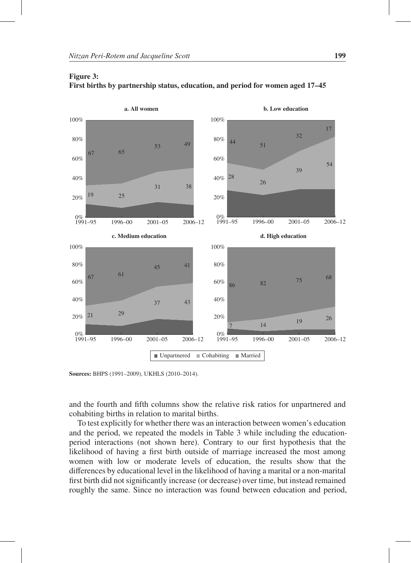

Figure 3: First births by partnership status, education, and period for women aged 17–45

Sources: BHPS (1991–2009), UKHLS (2010–2014).

and the fourth and fifth columns show the relative risk ratios for unpartnered and cohabiting births in relation to marital births.

To test explicitly for whether there was an interaction between women's education and the period, we repeated the models in Table 3 while including the educationperiod interactions (not shown here). Contrary to our first hypothesis that the likelihood of having a first birth outside of marriage increased the most among women with low or moderate levels of education, the results show that the differences by educational level in the likelihood of having a marital or a non-marital first birth did not significantly increase (or decrease) over time, but instead remained roughly the same. Since no interaction was found between education and period,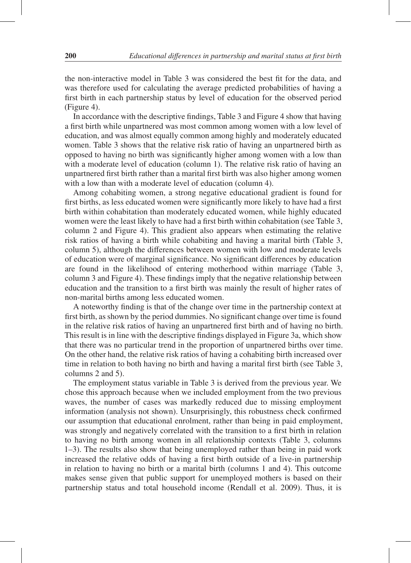the non-interactive model in Table 3 was considered the best fit for the data, and was therefore used for calculating the average predicted probabilities of having a first birth in each partnership status by level of education for the observed period (Figure 4).

In accordance with the descriptive findings, Table 3 and Figure 4 show that having a first birth while unpartnered was most common among women with a low level of education, and was almost equally common among highly and moderately educated women. Table 3 shows that the relative risk ratio of having an unpartnered birth as opposed to having no birth was significantly higher among women with a low than with a moderate level of education (column 1). The relative risk ratio of having an unpartnered first birth rather than a marital first birth was also higher among women with a low than with a moderate level of education (column 4).

Among cohabiting women, a strong negative educational gradient is found for first births, as less educated women were significantly more likely to have had a first birth within cohabitation than moderately educated women, while highly educated women were the least likely to have had a first birth within cohabitation (see Table 3, column 2 and Figure 4). This gradient also appears when estimating the relative risk ratios of having a birth while cohabiting and having a marital birth (Table 3, column 5), although the differences between women with low and moderate levels of education were of marginal significance. No significant differences by education are found in the likelihood of entering motherhood within marriage (Table 3, column 3 and Figure 4). These findings imply that the negative relationship between education and the transition to a first birth was mainly the result of higher rates of non-marital births among less educated women.

A noteworthy finding is that of the change over time in the partnership context at first birth, as shown by the period dummies. No significant change over time is found in the relative risk ratios of having an unpartnered first birth and of having no birth. This result is in line with the descriptive findings displayed in Figure 3a, which show that there was no particular trend in the proportion of unpartnered births over time. On the other hand, the relative risk ratios of having a cohabiting birth increased over time in relation to both having no birth and having a marital first birth (see Table 3, columns 2 and 5).

The employment status variable in Table 3 is derived from the previous year. We chose this approach because when we included employment from the two previous waves, the number of cases was markedly reduced due to missing employment information (analysis not shown). Unsurprisingly, this robustness check confirmed our assumption that educational enrolment, rather than being in paid employment, was strongly and negatively correlated with the transition to a first birth in relation to having no birth among women in all relationship contexts (Table 3, columns 1–3). The results also show that being unemployed rather than being in paid work increased the relative odds of having a first birth outside of a live-in partnership in relation to having no birth or a marital birth (columns 1 and 4). This outcome makes sense given that public support for unemployed mothers is based on their partnership status and total household income (Rendall et al. 2009). Thus, it is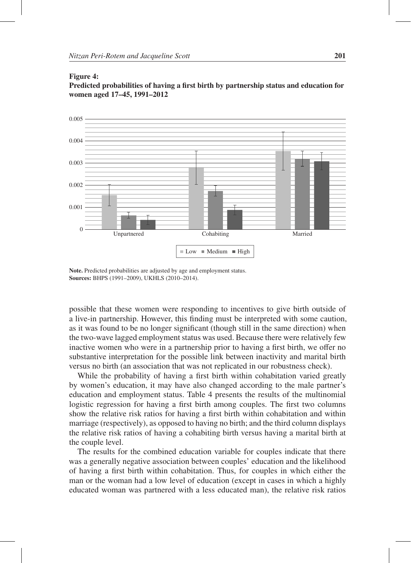#### Figure 4:

Predicted probabilities of having a first birth by partnership status and education for women aged 17–45, 1991–2012



Note. Predicted probabilities are adjusted by age and employment status. Sources: BHPS (1991–2009), UKHLS (2010–2014).

possible that these women were responding to incentives to give birth outside of a live-in partnership. However, this finding must be interpreted with some caution, as it was found to be no longer significant (though still in the same direction) when the two-wave lagged employment status was used. Because there were relatively few inactive women who were in a partnership prior to having a first birth, we offer no substantive interpretation for the possible link between inactivity and marital birth versus no birth (an association that was not replicated in our robustness check).

While the probability of having a first birth within cohabitation varied greatly by women's education, it may have also changed according to the male partner's education and employment status. Table 4 presents the results of the multinomial logistic regression for having a first birth among couples. The first two columns show the relative risk ratios for having a first birth within cohabitation and within marriage (respectively), as opposed to having no birth; and the third column displays the relative risk ratios of having a cohabiting birth versus having a marital birth at the couple level.

The results for the combined education variable for couples indicate that there was a generally negative association between couples' education and the likelihood of having a first birth within cohabitation. Thus, for couples in which either the man or the woman had a low level of education (except in cases in which a highly educated woman was partnered with a less educated man), the relative risk ratios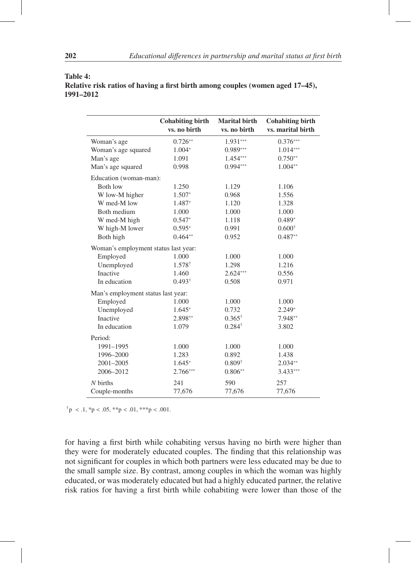#### Table 4:

Relative risk ratios of having a first birth among couples (women aged 17–45), 1991–2012

|                                      | <b>Cohabiting birth</b><br>vs. no birth | <b>Marital birth</b><br>vs. no birth | <b>Cohabiting birth</b><br>vs. marital birth |
|--------------------------------------|-----------------------------------------|--------------------------------------|----------------------------------------------|
| Woman's age                          | $0.726**$                               | 1.931***                             | $0.376***$                                   |
| Woman's age squared                  | 1.004*                                  | $0.989***$                           | $1.014***$                                   |
| Man's age                            | 1.091                                   | 1.454***                             | $0.750**$                                    |
| Man's age squared                    | 0.998                                   | $0.994***$                           | $1.004**$                                    |
| Education (woman-man):               |                                         |                                      |                                              |
| <b>Both low</b>                      | 1.250                                   | 1.129                                | 1.106                                        |
| W low-M higher                       | $1.507*$                                | 0.968                                | 1.556                                        |
| W med-M low                          | 1.487*                                  | 1.120                                | 1.328                                        |
| Both medium                          | 1.000                                   | 1.000                                | 1.000                                        |
| W med-M high                         | $0.547*$                                | 1.118                                | $0.489*$                                     |
| W high-M lower                       | $0.595*$                                | 0.991                                | $0.600^\dagger$                              |
| Both high                            | $0.464**$                               | 0.952                                | $0.487**$                                    |
| Woman's employment status last year: |                                         |                                      |                                              |
| Employed                             | 1.000                                   | 1.000                                | 1.000                                        |
| Unemployed                           | $1.578^{\dagger}$                       | 1.298                                | 1.216                                        |
| <b>Inactive</b>                      | 1.460                                   | $2.624***$                           | 0.556                                        |
| In education                         | $0.493^{\dagger}$                       | 0.508                                | 0.971                                        |
| Man's employment status last year:   |                                         |                                      |                                              |
| Employed                             | 1.000                                   | 1.000                                | 1.000                                        |
| Unemployed                           | $1.645*$                                | 0.732                                | $2.249*$                                     |
| Inactive                             | 2.898**                                 | $0.365^{\dagger}$                    | 7.948**                                      |
| In education                         | 1.079                                   | $0.284^{\dagger}$                    | 3.802                                        |
| Period:                              |                                         |                                      |                                              |
| 1991-1995                            | 1.000                                   | 1.000                                | 1.000                                        |
| 1996-2000                            | 1.283                                   | 0.892                                | 1.438                                        |
| 2001-2005                            | $1.645*$                                | $0.809^{\dagger}$                    | $2.034**$                                    |
| 2006-2012                            | $2.766***$                              | $0.806**$                            | 3.433***                                     |
| $N$ births                           | 241                                     | 590                                  | 257                                          |
| Couple-months                        | 77,676                                  | 77,676                               | 77,676                                       |

 $\{\dagger} p < .1, \dagger p < .05, \dagger \dagger p < .01, \dagger \dagger p < .001.$ 

for having a first birth while cohabiting versus having no birth were higher than they were for moderately educated couples. The finding that this relationship was not significant for couples in which both partners were less educated may be due to the small sample size. By contrast, among couples in which the woman was highly educated, or was moderately educated but had a highly educated partner, the relative risk ratios for having a first birth while cohabiting were lower than those of the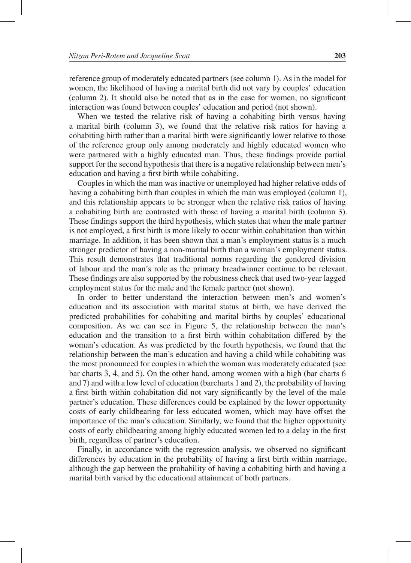reference group of moderately educated partners (see column 1). As in the model for women, the likelihood of having a marital birth did not vary by couples' education (column 2). It should also be noted that as in the case for women, no significant interaction was found between couples' education and period (not shown).

When we tested the relative risk of having a cohabiting birth versus having a marital birth (column 3), we found that the relative risk ratios for having a cohabiting birth rather than a marital birth were significantly lower relative to those of the reference group only among moderately and highly educated women who were partnered with a highly educated man. Thus, these findings provide partial support for the second hypothesis that there is a negative relationship between men's education and having a first birth while cohabiting.

Couples in which the man was inactive or unemployed had higher relative odds of having a cohabiting birth than couples in which the man was employed (column 1), and this relationship appears to be stronger when the relative risk ratios of having a cohabiting birth are contrasted with those of having a marital birth (column 3). These findings support the third hypothesis, which states that when the male partner is not employed, a first birth is more likely to occur within cohabitation than within marriage. In addition, it has been shown that a man's employment status is a much stronger predictor of having a non-marital birth than a woman's employment status. This result demonstrates that traditional norms regarding the gendered division of labour and the man's role as the primary breadwinner continue to be relevant. These findings are also supported by the robustness check that used two-year lagged employment status for the male and the female partner (not shown).

In order to better understand the interaction between men's and women's education and its association with marital status at birth, we have derived the predicted probabilities for cohabiting and marital births by couples' educational composition. As we can see in Figure 5, the relationship between the man's education and the transition to a first birth within cohabitation differed by the woman's education. As was predicted by the fourth hypothesis, we found that the relationship between the man's education and having a child while cohabiting was the most pronounced for couples in which the woman was moderately educated (see bar charts 3, 4, and 5). On the other hand, among women with a high (bar charts 6 and 7) and with a low level of education (barcharts 1 and 2), the probability of having a first birth within cohabitation did not vary significantly by the level of the male partner's education. These differences could be explained by the lower opportunity costs of early childbearing for less educated women, which may have offset the importance of the man's education. Similarly, we found that the higher opportunity costs of early childbearing among highly educated women led to a delay in the first birth, regardless of partner's education.

Finally, in accordance with the regression analysis, we observed no significant differences by education in the probability of having a first birth within marriage, although the gap between the probability of having a cohabiting birth and having a marital birth varied by the educational attainment of both partners.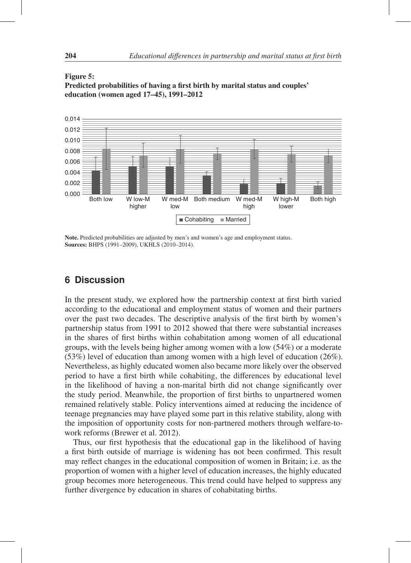



Note. Predicted probabilities are adjusted by men's and women's age and employment status. Sources: BHPS (1991–2009), UKHLS (2010–2014).

# **6 Discussion**

In the present study, we explored how the partnership context at first birth varied according to the educational and employment status of women and their partners over the past two decades. The descriptive analysis of the first birth by women's partnership status from 1991 to 2012 showed that there were substantial increases in the shares of first births within cohabitation among women of all educational groups, with the levels being higher among women with a low (54%) or a moderate (53%) level of education than among women with a high level of education (26%). Nevertheless, as highly educated women also became more likely over the observed period to have a first birth while cohabiting, the differences by educational level in the likelihood of having a non-marital birth did not change significantly over the study period. Meanwhile, the proportion of first births to unpartnered women remained relatively stable. Policy interventions aimed at reducing the incidence of teenage pregnancies may have played some part in this relative stability, along with the imposition of opportunity costs for non-partnered mothers through welfare-towork reforms (Brewer et al. 2012).

Thus, our first hypothesis that the educational gap in the likelihood of having a first birth outside of marriage is widening has not been confirmed. This result may reflect changes in the educational composition of women in Britain; i.e. as the proportion of women with a higher level of education increases, the highly educated group becomes more heterogeneous. This trend could have helped to suppress any further divergence by education in shares of cohabitating births.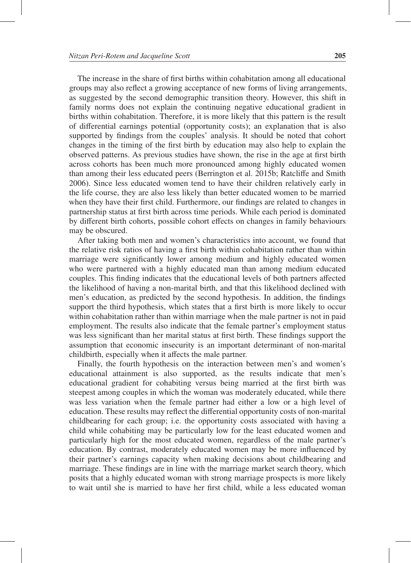The increase in the share of first births within cohabitation among all educational groups may also reflect a growing acceptance of new forms of living arrangements, as suggested by the second demographic transition theory. However, this shift in family norms does not explain the continuing negative educational gradient in births within cohabitation. Therefore, it is more likely that this pattern is the result of differential earnings potential (opportunity costs); an explanation that is also supported by findings from the couples' analysis. It should be noted that cohort changes in the timing of the first birth by education may also help to explain the observed patterns. As previous studies have shown, the rise in the age at first birth across cohorts has been much more pronounced among highly educated women than among their less educated peers (Berrington et al. 2015b; Ratcliffe and Smith 2006). Since less educated women tend to have their children relatively early in the life course, they are also less likely than better educated women to be married when they have their first child. Furthermore, our findings are related to changes in partnership status at first birth across time periods. While each period is dominated by different birth cohorts, possible cohort effects on changes in family behaviours may be obscured.

After taking both men and women's characteristics into account, we found that the relative risk ratios of having a first birth within cohabitation rather than within marriage were significantly lower among medium and highly educated women who were partnered with a highly educated man than among medium educated couples. This finding indicates that the educational levels of both partners affected the likelihood of having a non-marital birth, and that this likelihood declined with men's education, as predicted by the second hypothesis. In addition, the findings support the third hypothesis, which states that a first birth is more likely to occur within cohabitation rather than within marriage when the male partner is not in paid employment. The results also indicate that the female partner's employment status was less significant than her marital status at first birth. These findings support the assumption that economic insecurity is an important determinant of non-marital childbirth, especially when it affects the male partner.

Finally, the fourth hypothesis on the interaction between men's and women's educational attainment is also supported, as the results indicate that men's educational gradient for cohabiting versus being married at the first birth was steepest among couples in which the woman was moderately educated, while there was less variation when the female partner had either a low or a high level of education. These results may reflect the differential opportunity costs of non-marital childbearing for each group; i.e. the opportunity costs associated with having a child while cohabiting may be particularly low for the least educated women and particularly high for the most educated women, regardless of the male partner's education. By contrast, moderately educated women may be more influenced by their partner's earnings capacity when making decisions about childbearing and marriage. These findings are in line with the marriage market search theory, which posits that a highly educated woman with strong marriage prospects is more likely to wait until she is married to have her first child, while a less educated woman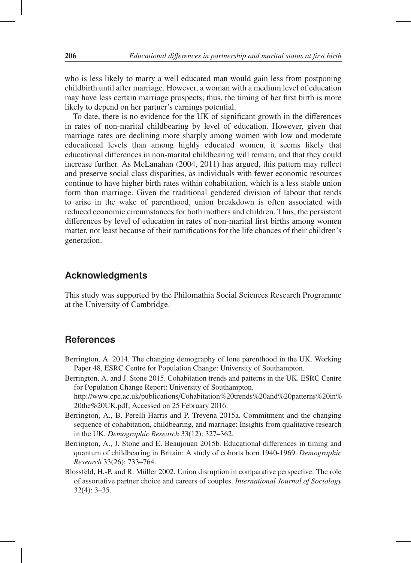who is less likely to marry a well educated man would gain less from postponing childbirth until after marriage. However, a woman with a medium level of education may have less certain marriage prospects; thus, the timing of her first birth is more likely to depend on her partner's earnings potential.

To date, there is no evidence for the UK of significant growth in the differences in rates of non-marital childbearing by level of education. However, given that marriage rates are declining more sharply among women with low and moderate educational levels than among highly educated women, it seems likely that educational differences in non-marital childbearing will remain, and that they could increase further. As McLanahan (2004, 2011) has argued, this pattern may reflect and preserve social class disparities, as individuals with fewer economic resources continue to have higher birth rates within cohabitation, which is a less stable union form than marriage. Given the traditional gendered division of labour that tends to arise in the wake of parenthood, union breakdown is often associated with reduced economic circumstances for both mothers and children. Thus, the persistent differences by level of education in rates of non-marital first births among women matter, not least because of their ramifications for the life chances of their children's generation.

# **Acknowledgments**

This study was supported by the Philomathia Social Sciences Research Programme at the University of Cambridge.

### **References**

- Berrington, A. 2014. The changing demography of lone parenthood in the UK. Working Paper 48, ESRC Centre for Population Change: University of Southampton.
- Berrington, A. and J. Stone 2015. Cohabitation trends and patterns in the UK. ESRC Centre for Population Change Report: University of Southampton.

http://www.cpc.ac.uk/publications/Cohabitation%20trends%20and%20patterns%20in% 20the%20UK.pdf, Accessed on 25 February 2016.

- Berrington, A., B. Perelli-Harris and P. Trevena 2015a. Commitment and the changing sequence of cohabitation, childbearing, and marriage: Insights from qualitative research in the UK. *Demographic Research* 33(12): 327–362.
- Berrington, A., J. Stone and E. Beaujouan 2015b. Educational differences in timing and quantum of childbearing in Britain: A study of cohorts born 1940-1969. *Demographic Research* 33(26): 733–764.
- Blossfeld, H.-P. and R. Müller 2002. Union disruption in comparative perspective: The role of assortative partner choice and careers of couples. *International Journal of Sociology* 32(4): 3–35.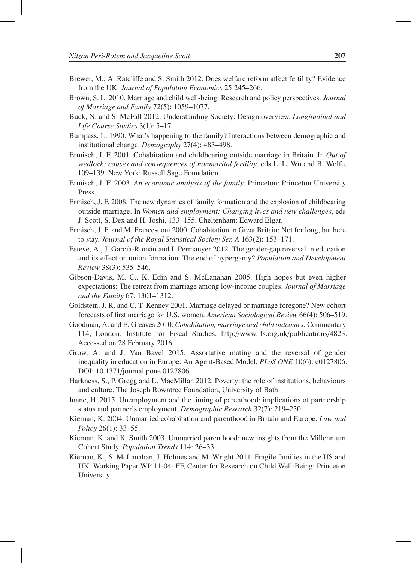- Brewer, M., A. Ratcliffe and S. Smith 2012. Does welfare reform affect fertility? Evidence from the UK. *Journal of Population Economics* 25:245–266.
- Brown, S. L. 2010. Marriage and child well-being: Research and policy perspectives. *Journal of Marriage and Family* 72(5): 1059–1077.
- Buck, N. and S. McFall 2012. Understanding Society: Design overview. *Longitudinal and Life Course Studies* 3(1): 5–17.
- Bumpass, L. 1990. What's happening to the family? Interactions between demographic and institutional change. *Demography* 27(4): 483–498.
- Ermisch, J. F. 2001. Cohabitation and childbearing outside marriage in Britain. In *Out of wedlock: causes and consequences of nonmarital fertility*, eds L. L. Wu and B. Wolfe, 109–139. New York: Russell Sage Foundation.
- Ermisch, J. F. 2003. *An economic analysis of the family*. Princeton: Princeton University Press.
- Ermisch, J. F. 2008. The new dynamics of family formation and the explosion of childbearing outside marriage. In *Women and employment: Changing lives and new challenges*, eds J. Scott, S. Dex and H. Joshi, 133–155. Cheltenham: Edward Elgar.
- Ermisch, J. F. and M. Francesconi 2000. Cohabitation in Great Britain: Not for long, but here to stay. *Journal of the Royal Statistical Society Ser. A* 163(2): 153–171.
- Esteve, A., J. García-Román and I. Permanyer 2012. The gender-gap reversal in education and its effect on union formation: The end of hypergamy? *Population and Development Review* 38(3): 535–546.
- Gibson-Davis, M. C., K. Edin and S. McLanahan 2005. High hopes but even higher expectations: The retreat from marriage among low-income couples. *Journal of Marriage and the Family* 67: 1301–1312.
- Goldstein, J. R. and C. T. Kenney 2001. Marriage delayed or marriage foregone? New cohort forecasts of first marriage for U.S. women. *American Sociological Review* 66(4): 506–519.
- Goodman, A. and E. Greaves 2010. *Cohabitation, marriage and child outcomes*, Commentary 114, London: Institute for Fiscal Studies. http://www.ifs.org.uk/publications/4823. Accessed on 28 February 2016.
- Grow, A. and J. Van Bavel 2015. Assortative mating and the reversal of gender inequality in education in Europe: An Agent-Based Model. *PLoS ONE* 10(6): e0127806. DOI: 10.1371/journal.pone.0127806.
- Harkness, S., P. Gregg and L. MacMillan 2012. Poverty: the role of institutions, behaviours and culture. The Joseph Rowntree Foundation, University of Bath.
- Inanc, H. 2015. Unemployment and the timing of parenthood: implications of partnership status and partner's employment. *Demographic Research* 32(7): 219–250.
- Kiernan, K. 2004. Unmarried cohabitation and parenthood in Britain and Europe. *Law and Policy* 26(1): 33–55.
- Kiernan, K. and K. Smith 2003. Unmarried parenthood: new insights from the Millennium Cohort Study. *Population Trends* 114: 26–33.
- Kiernan, K., S. McLanahan, J. Holmes and M. Wright 2011. Fragile families in the US and UK. Working Paper WP 11-04- FF, Center for Research on Child Well-Being: Princeton University.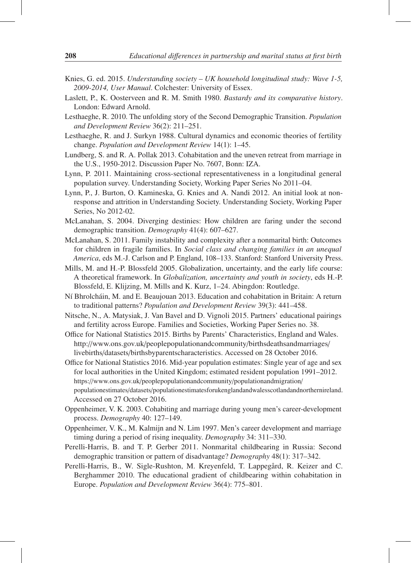- Knies, G. ed. 2015. *Understanding society UK household longitudinal study: Wave 1-5, 2009-2014, User Manual*. Colchester: University of Essex.
- Laslett, P., K. Oosterveen and R. M. Smith 1980. *Bastardy and its comparative history*. London: Edward Arnold.
- Lesthaeghe, R. 2010. The unfolding story of the Second Demographic Transition. *Population and Development Review* 36(2): 211–251.
- Lesthaeghe, R. and J. Surkyn 1988. Cultural dynamics and economic theories of fertility change. *Population and Development Review* 14(1): 1–45.
- Lundberg, S. and R. A. Pollak 2013. Cohabitation and the uneven retreat from marriage in the U.S., 1950-2012. Discussion Paper No. 7607, Bonn: IZA.
- Lynn, P. 2011. Maintaining cross-sectional representativeness in a longitudinal general population survey. Understanding Society, Working Paper Series No 2011–04.
- Lynn, P., J. Burton, O. Kamineska, G. Knies and A. Nandi 2012. An initial look at nonresponse and attrition in Understanding Society. Understanding Society, Working Paper Series, No 2012-02.
- McLanahan, S. 2004. Diverging destinies: How children are faring under the second demographic transition. *Demography* 41(4): 607–627.
- McLanahan, S. 2011. Family instability and complexity after a nonmarital birth: Outcomes for children in fragile families. In *Social class and changing families in an unequal America*, eds M.-J. Carlson and P. England, 108–133. Stanford: Stanford University Press.
- Mills, M. and H.-P. Blossfeld 2005. Globalization, uncertainty, and the early life course: A theoretical framework. In *Globalization, uncertainty and youth in society*, eds H.-P. Blossfeld, E. Klijzing, M. Mills and K. Kurz, 1–24. Abingdon: Routledge.
- N´ı Bhrolchain, M. and E. Beaujouan 2013. Education and cohabitation in Britain: A return ´ to traditional patterns? *Population and Development Review* 39(3): 441–458.
- Nitsche, N., A. Matysiak, J. Van Bavel and D. Vignoli 2015. Partners' educational pairings and fertility across Europe. Families and Societies, Working Paper Series no. 38.
- Office for National Statistics 2015. Births by Parents' Characteristics, England and Wales. http://www.ons.gov.uk/peoplepopulationandcommunity/birthsdeathsandmarriages/ livebirths/datasets/birthsbyparentscharacteristics. Accessed on 28 October 2016.
- Office for National Statistics 2016. Mid-year population estimates: Single year of age and sex for local authorities in the United Kingdom; estimated resident population 1991–2012. https://www.ons.gov.uk/peoplepopulationandcommunity/populationandmigration/ populationestimates/datasets/populationestimatesforukenglandandwalesscotlandandnorthernireland. Accessed on 27 October 2016.
- Oppenheimer, V. K. 2003. Cohabiting and marriage during young men's career-development process. *Demography* 40: 127–149.
- Oppenheimer, V. K., M. Kalmijn and N. Lim 1997. Men's career development and marriage timing during a period of rising inequality. *Demography* 34: 311–330.
- Perelli-Harris, B. and T. P. Gerber 2011. Nonmarital childbearing in Russia: Second demographic transition or pattern of disadvantage? *Demography* 48(1): 317–342.
- Perelli-Harris, B., W. Sigle-Rushton, M. Kreyenfeld, T. Lappegård, R. Keizer and C. Berghammer 2010. The educational gradient of childbearing within cohabitation in Europe. *Population and Development Review* 36(4): 775–801.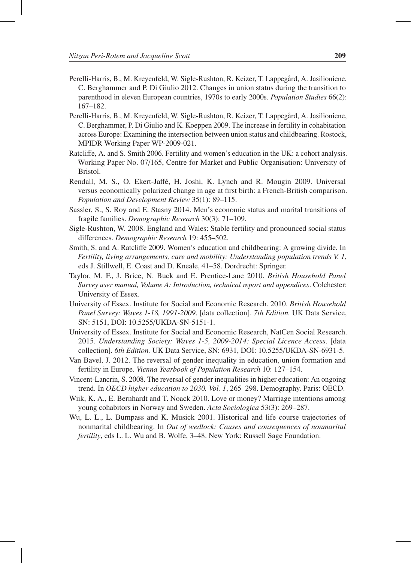- Perelli-Harris, B., M. Kreyenfeld, W. Sigle-Rushton, R. Keizer, T. Lappegård, A. Jasilioniene, C. Berghammer and P. Di Giulio 2012. Changes in union status during the transition to parenthood in eleven European countries, 1970s to early 2000s. *Population Studies* 66(2): 167–182.
- Perelli-Harris, B., M. Kreyenfeld, W. Sigle-Rushton, R. Keizer, T. Lappegård, A. Jasilioniene, C. Berghammer, P. Di Giulio and K. Koeppen 2009. The increase in fertility in cohabitation across Europe: Examining the intersection between union status and childbearing. Rostock, MPIDR Working Paper WP-2009-021.
- Ratcliffe, A. and S. Smith 2006. Fertility and women's education in the UK: a cohort analysis. Working Paper No. 07/165, Centre for Market and Public Organisation: University of Bristol.
- Rendall, M. S., O. Ekert-Jaffe, H. Joshi, K. Lynch and R. Mougin 2009. Universal ´ versus economically polarized change in age at first birth: a French-British comparison. *Population and Development Review* 35(1): 89–115.
- Sassler, S., S. Roy and E. Stasny 2014. Men's economic status and marital transitions of fragile families. *Demographic Research* 30(3): 71–109.
- Sigle-Rushton, W. 2008. England and Wales: Stable fertility and pronounced social status differences. *Demographic Research* 19: 455–502.
- Smith, S. and A. Ratcliffe 2009. Women's education and childbearing: A growing divide. In *Fertility, living arrangements, care and mobility: Understanding population trends V. 1*, eds J. Stillwell, E. Coast and D. Kneale, 41–58. Dordrecht: Springer.
- Taylor, M. F., J. Brice, N. Buck and E. Prentice-Lane 2010. *British Household Panel Survey user manual, Volume A: Introduction, technical report and appendices*. Colchester: University of Essex.
- University of Essex. Institute for Social and Economic Research. 2010. *British Household Panel Survey: Waves 1-18, 1991-2009*. [data collection]. *7th Edition.* UK Data Service, SN: 5151, DOI: 10.5255/UKDA-SN-5151-1.
- University of Essex. Institute for Social and Economic Research, NatCen Social Research. 2015. *Understanding Society: Waves 1-5, 2009-2014: Special Licence Access*. [data collection]. *6th Edition.* UK Data Service, SN: 6931, DOI: 10.5255/UKDA-SN-6931-5.
- Van Bavel, J. 2012. The reversal of gender inequality in education, union formation and fertility in Europe. *Vienna Yearbook of Population Research* 10: 127–154.
- Vincent-Lancrin, S. 2008. The reversal of gender inequalities in higher education: An ongoing trend. In *OECD higher education to 2030. Vol. 1*, 265–298. Demography. Paris: OECD.
- Wiik, K. A., E. Bernhardt and T. Noack 2010. Love or money? Marriage intentions among young cohabitors in Norway and Sweden. *Acta Sociologica* 53(3): 269–287.
- Wu, L. L., L. Bumpass and K. Musick 2001. Historical and life course trajectories of nonmarital childbearing. In *Out of wedlock: Causes and consequences of nonmarital fertility*, eds L. L. Wu and B. Wolfe, 3–48. New York: Russell Sage Foundation.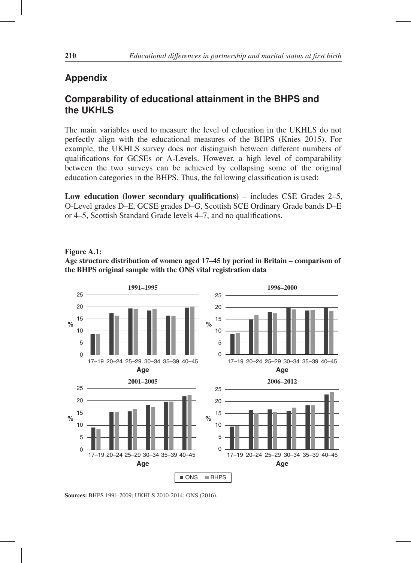# **Appendix**

# **Comparability of educational attainment in the BHPS and the UKHLS**

The main variables used to measure the level of education in the UKHLS do not perfectly align with the educational measures of the BHPS (Knies 2015). For example, the UKHLS survey does not distinguish between different numbers of qualifications for GCSEs or A-Levels. However, a high level of comparability between the two surveys can be achieved by collapsing some of the original education categories in the BHPS. Thus, the following classification is used:

Low education (lower secondary qualifications) – includes CSE Grades  $2-5$ , O-Level grades D–E, GCSE grades D–G, Scottish SCE Ordinary Grade bands D–E or 4–5, Scottish Standard Grade levels 4–7, and no qualifications.

### Figure A.1: Age structure distribution of women aged 17–45 by period in Britain – comparison of the BHPS original sample with the ONS vital registration data



Sources: BHPS 1991-2009; UKHLS 2010-2014; ONS (2016).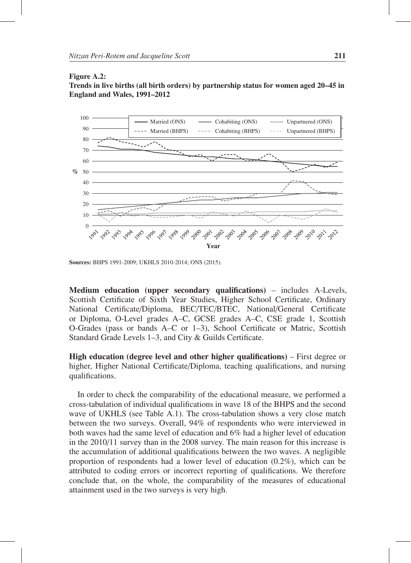#### Figure A.2:





Sources: BHPS 1991-2009; UKHLS 2010-2014; ONS (2015).

Medium education (upper secondary qualifications) – includes A-Levels, Scottish Certificate of Sixth Year Studies, Higher School Certificate, Ordinary National Certificate/Diploma, BEC/TEC/BTEC, National/General Certificate or Diploma, O-Level grades A–C, GCSE grades A–C, CSE grade 1, Scottish O-Grades (pass or bands A–C or 1–3), School Certificate or Matric, Scottish Standard Grade Levels 1–3, and City & Guilds Certificate.

High education (degree level and other higher qualifications) – First degree or higher, Higher National Certificate/Diploma, teaching qualifications, and nursing qualifications.

In order to check the comparability of the educational measure, we performed a cross-tabulation of individual qualifications in wave 18 of the BHPS and the second wave of UKHLS (see Table A.1). The cross-tabulation shows a very close match between the two surveys. Overall, 94% of respondents who were interviewed in both waves had the same level of education and 6% had a higher level of education in the 2010/11 survey than in the 2008 survey. The main reason for this increase is the accumulation of additional qualifications between the two waves. A negligible proportion of respondents had a lower level of education (0.2%), which can be attributed to coding errors or incorrect reporting of qualifications. We therefore conclude that, on the whole, the comparability of the measures of educational attainment used in the two surveys is very high.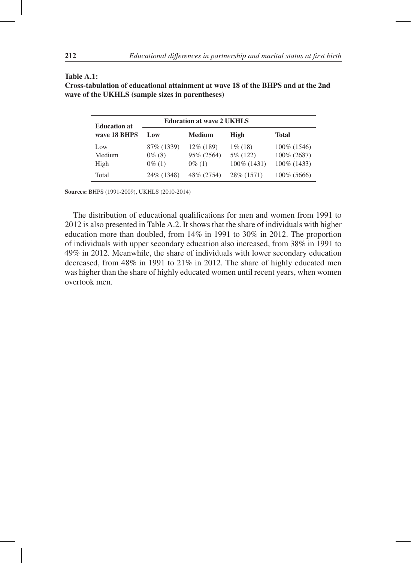#### Table A.1:

Cross-tabulation of educational attainment at wave 18 of the BHPS and at the 2nd wave of the UKHLS (sample sizes in parentheses)

| <b>Education at</b>   |                                       | <b>Education at wave 2 UKHLS</b>      |                                           |                                                |
|-----------------------|---------------------------------------|---------------------------------------|-------------------------------------------|------------------------------------------------|
| wave 18 BHPS          | Low                                   | <b>Medium</b>                         | High                                      | <b>Total</b>                                   |
| Low<br>Medium<br>High | 87\% (1339)<br>$0\%$ (8)<br>$0\%$ (1) | 12\% (189)<br>95% (2564)<br>$0\%$ (1) | $1\%$ (18)<br>5\% (122)<br>$100\%$ (1431) | 100\% (1546)<br>100\% (2687)<br>$100\%$ (1433) |
| Total                 | 24\% (1348)                           | 48% (2754)                            | 28\% (1571)                               | $100\%$ (5666)                                 |

Sources: BHPS (1991-2009), UKHLS (2010-2014)

The distribution of educational qualifications for men and women from 1991 to 2012 is also presented in Table A.2. It shows that the share of individuals with higher education more than doubled, from 14% in 1991 to 30% in 2012. The proportion of individuals with upper secondary education also increased, from 38% in 1991 to 49% in 2012. Meanwhile, the share of individuals with lower secondary education decreased, from 48% in 1991 to 21% in 2012. The share of highly educated men was higher than the share of highly educated women until recent years, when women overtook men.